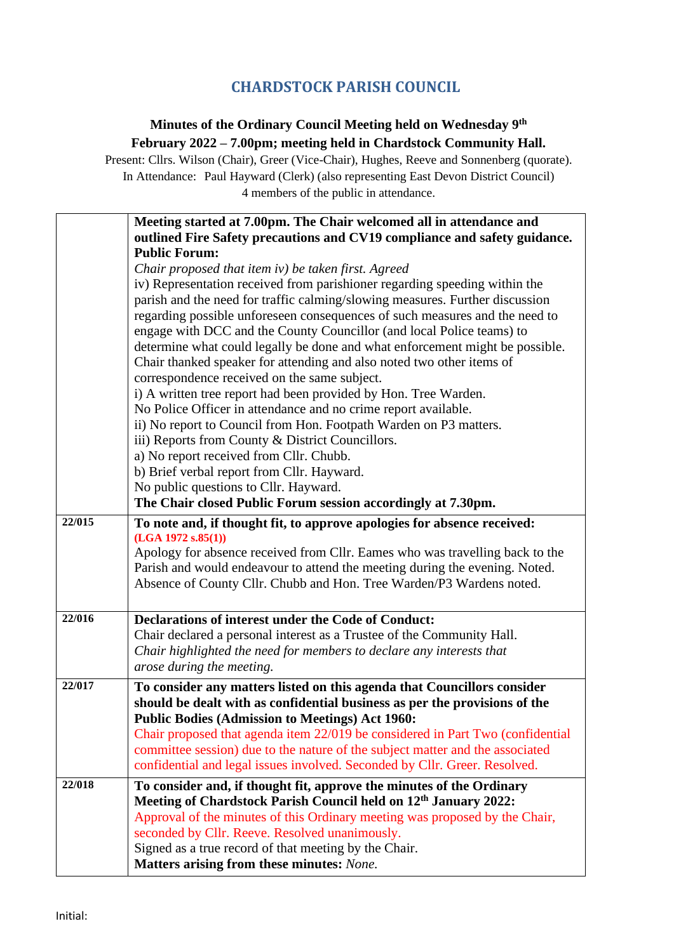## **CHARDSTOCK PARISH COUNCIL**

## **Minutes of the Ordinary Council Meeting held on Wednesday 9 th February 2022 – 7.00pm; meeting held in Chardstock Community Hall.**

Present: Cllrs. Wilson (Chair), Greer (Vice-Chair), Hughes, Reeve and Sonnenberg (quorate). In Attendance: Paul Hayward (Clerk) (also representing East Devon District Council) 4 members of the public in attendance.

|        | Meeting started at 7.00pm. The Chair welcomed all in attendance and            |
|--------|--------------------------------------------------------------------------------|
|        | outlined Fire Safety precautions and CV19 compliance and safety guidance.      |
|        | <b>Public Forum:</b>                                                           |
|        | Chair proposed that item iv) be taken first. Agreed                            |
|        | iv) Representation received from parishioner regarding speeding within the     |
|        | parish and the need for traffic calming/slowing measures. Further discussion   |
|        | regarding possible unforeseen consequences of such measures and the need to    |
|        | engage with DCC and the County Councillor (and local Police teams) to          |
|        | determine what could legally be done and what enforcement might be possible.   |
|        | Chair thanked speaker for attending and also noted two other items of          |
|        | correspondence received on the same subject.                                   |
|        | i) A written tree report had been provided by Hon. Tree Warden.                |
|        | No Police Officer in attendance and no crime report available.                 |
|        | ii) No report to Council from Hon. Footpath Warden on P3 matters.              |
|        | iii) Reports from County & District Councillors.                               |
|        | a) No report received from Cllr. Chubb.                                        |
|        | b) Brief verbal report from Cllr. Hayward.                                     |
|        | No public questions to Cllr. Hayward.                                          |
|        | The Chair closed Public Forum session accordingly at 7.30pm.                   |
| 22/015 | To note and, if thought fit, to approve apologies for absence received:        |
|        | (LGA 1972 s.85(1))                                                             |
|        | Apology for absence received from Cllr. Eames who was travelling back to the   |
|        | Parish and would endeavour to attend the meeting during the evening. Noted.    |
|        | Absence of County Cllr. Chubb and Hon. Tree Warden/P3 Wardens noted.           |
|        |                                                                                |
| 22/016 | <b>Declarations of interest under the Code of Conduct:</b>                     |
|        | Chair declared a personal interest as a Trustee of the Community Hall.         |
|        | Chair highlighted the need for members to declare any interests that           |
|        | arose during the meeting.                                                      |
| 22/017 | To consider any matters listed on this agenda that Councillors consider        |
|        | should be dealt with as confidential business as per the provisions of the     |
|        | <b>Public Bodies (Admission to Meetings) Act 1960:</b>                         |
|        | Chair proposed that agenda item 22/019 be considered in Part Two (confidential |
|        | committee session) due to the nature of the subject matter and the associated  |
|        | confidential and legal issues involved. Seconded by Cllr. Greer. Resolved.     |
| 22/018 | To consider and, if thought fit, approve the minutes of the Ordinary           |
|        | Meeting of Chardstock Parish Council held on 12th January 2022:                |
|        | Approval of the minutes of this Ordinary meeting was proposed by the Chair,    |
|        | seconded by Cllr. Reeve. Resolved unanimously.                                 |
|        | Signed as a true record of that meeting by the Chair.                          |
|        | Matters arising from these minutes: None.                                      |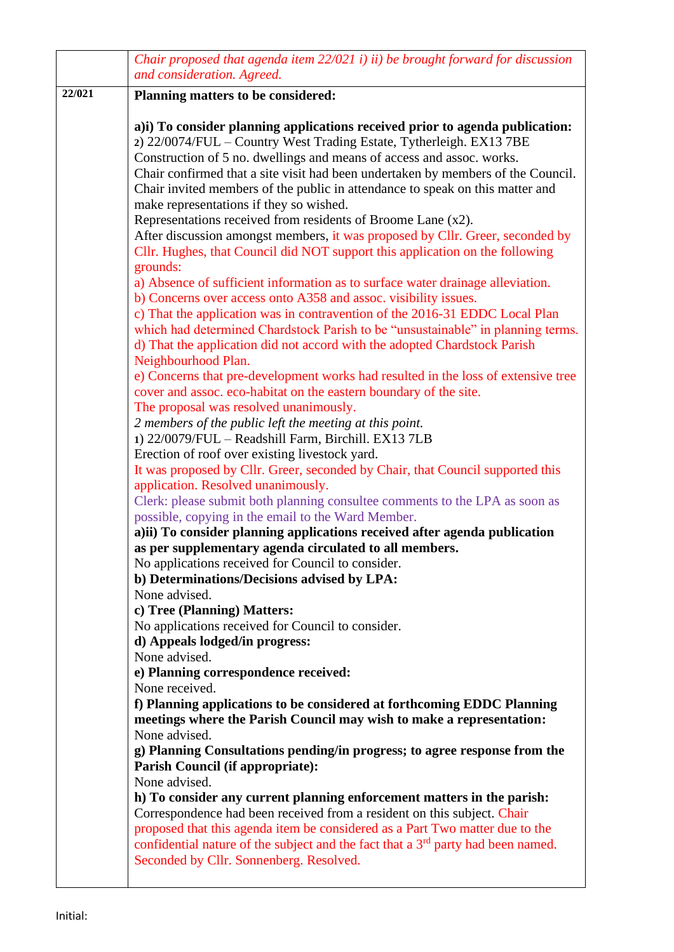|        | Chair proposed that agenda item 22/021 i) ii) be brought forward for discussion<br>and consideration. Agreed.                                                                                                                                                                                                                                                                                                                                                                                                                                                                                                                                                                                                                                                                                                                                                                                                                                                                                                                                                                                                                                                                                                                                                                                                                                                                                                                                                                                                                                                                                                                                                                                                                                                                                                                           |
|--------|-----------------------------------------------------------------------------------------------------------------------------------------------------------------------------------------------------------------------------------------------------------------------------------------------------------------------------------------------------------------------------------------------------------------------------------------------------------------------------------------------------------------------------------------------------------------------------------------------------------------------------------------------------------------------------------------------------------------------------------------------------------------------------------------------------------------------------------------------------------------------------------------------------------------------------------------------------------------------------------------------------------------------------------------------------------------------------------------------------------------------------------------------------------------------------------------------------------------------------------------------------------------------------------------------------------------------------------------------------------------------------------------------------------------------------------------------------------------------------------------------------------------------------------------------------------------------------------------------------------------------------------------------------------------------------------------------------------------------------------------------------------------------------------------------------------------------------------------|
| 22/021 | Planning matters to be considered:                                                                                                                                                                                                                                                                                                                                                                                                                                                                                                                                                                                                                                                                                                                                                                                                                                                                                                                                                                                                                                                                                                                                                                                                                                                                                                                                                                                                                                                                                                                                                                                                                                                                                                                                                                                                      |
|        | a) i) To consider planning applications received prior to agenda publication:<br>2) 22/0074/FUL – Country West Trading Estate, Tytherleigh. EX13 7BE<br>Construction of 5 no. dwellings and means of access and assoc. works.<br>Chair confirmed that a site visit had been undertaken by members of the Council.<br>Chair invited members of the public in attendance to speak on this matter and<br>make representations if they so wished.<br>Representations received from residents of Broome Lane (x2).<br>After discussion amongst members, it was proposed by Cllr. Greer, seconded by<br>Cllr. Hughes, that Council did NOT support this application on the following<br>grounds:<br>a) Absence of sufficient information as to surface water drainage alleviation.<br>b) Concerns over access onto A358 and assoc. visibility issues.<br>c) That the application was in contravention of the 2016-31 EDDC Local Plan<br>which had determined Chardstock Parish to be "unsustainable" in planning terms.<br>d) That the application did not accord with the adopted Chardstock Parish<br>Neighbourhood Plan.<br>e) Concerns that pre-development works had resulted in the loss of extensive tree<br>cover and assoc. eco-habitat on the eastern boundary of the site.<br>The proposal was resolved unanimously.<br>2 members of the public left the meeting at this point.<br>1) 22/0079/FUL - Readshill Farm, Birchill. EX13 7LB<br>Erection of roof over existing livestock yard.<br>It was proposed by Cllr. Greer, seconded by Chair, that Council supported this<br>application. Resolved unanimously.<br>Clerk: please submit both planning consultee comments to the LPA as soon as<br>possible, copying in the email to the Ward Member.<br>a)ii) To consider planning applications received after agenda publication |
|        | as per supplementary agenda circulated to all members.                                                                                                                                                                                                                                                                                                                                                                                                                                                                                                                                                                                                                                                                                                                                                                                                                                                                                                                                                                                                                                                                                                                                                                                                                                                                                                                                                                                                                                                                                                                                                                                                                                                                                                                                                                                  |
|        | No applications received for Council to consider.<br>b) Determinations/Decisions advised by LPA:                                                                                                                                                                                                                                                                                                                                                                                                                                                                                                                                                                                                                                                                                                                                                                                                                                                                                                                                                                                                                                                                                                                                                                                                                                                                                                                                                                                                                                                                                                                                                                                                                                                                                                                                        |
|        | None advised.                                                                                                                                                                                                                                                                                                                                                                                                                                                                                                                                                                                                                                                                                                                                                                                                                                                                                                                                                                                                                                                                                                                                                                                                                                                                                                                                                                                                                                                                                                                                                                                                                                                                                                                                                                                                                           |
|        | c) Tree (Planning) Matters:                                                                                                                                                                                                                                                                                                                                                                                                                                                                                                                                                                                                                                                                                                                                                                                                                                                                                                                                                                                                                                                                                                                                                                                                                                                                                                                                                                                                                                                                                                                                                                                                                                                                                                                                                                                                             |
|        | No applications received for Council to consider.<br>d) Appeals lodged/in progress:                                                                                                                                                                                                                                                                                                                                                                                                                                                                                                                                                                                                                                                                                                                                                                                                                                                                                                                                                                                                                                                                                                                                                                                                                                                                                                                                                                                                                                                                                                                                                                                                                                                                                                                                                     |
|        | None advised.                                                                                                                                                                                                                                                                                                                                                                                                                                                                                                                                                                                                                                                                                                                                                                                                                                                                                                                                                                                                                                                                                                                                                                                                                                                                                                                                                                                                                                                                                                                                                                                                                                                                                                                                                                                                                           |
|        | e) Planning correspondence received:<br>None received.                                                                                                                                                                                                                                                                                                                                                                                                                                                                                                                                                                                                                                                                                                                                                                                                                                                                                                                                                                                                                                                                                                                                                                                                                                                                                                                                                                                                                                                                                                                                                                                                                                                                                                                                                                                  |
|        | f) Planning applications to be considered at forthcoming EDDC Planning                                                                                                                                                                                                                                                                                                                                                                                                                                                                                                                                                                                                                                                                                                                                                                                                                                                                                                                                                                                                                                                                                                                                                                                                                                                                                                                                                                                                                                                                                                                                                                                                                                                                                                                                                                  |
|        | meetings where the Parish Council may wish to make a representation:                                                                                                                                                                                                                                                                                                                                                                                                                                                                                                                                                                                                                                                                                                                                                                                                                                                                                                                                                                                                                                                                                                                                                                                                                                                                                                                                                                                                                                                                                                                                                                                                                                                                                                                                                                    |
|        | None advised.<br>g) Planning Consultations pending/in progress; to agree response from the                                                                                                                                                                                                                                                                                                                                                                                                                                                                                                                                                                                                                                                                                                                                                                                                                                                                                                                                                                                                                                                                                                                                                                                                                                                                                                                                                                                                                                                                                                                                                                                                                                                                                                                                              |
|        | <b>Parish Council (if appropriate):</b>                                                                                                                                                                                                                                                                                                                                                                                                                                                                                                                                                                                                                                                                                                                                                                                                                                                                                                                                                                                                                                                                                                                                                                                                                                                                                                                                                                                                                                                                                                                                                                                                                                                                                                                                                                                                 |
|        | None advised.                                                                                                                                                                                                                                                                                                                                                                                                                                                                                                                                                                                                                                                                                                                                                                                                                                                                                                                                                                                                                                                                                                                                                                                                                                                                                                                                                                                                                                                                                                                                                                                                                                                                                                                                                                                                                           |
|        | h) To consider any current planning enforcement matters in the parish:<br>Correspondence had been received from a resident on this subject. Chair<br>proposed that this agenda item be considered as a Part Two matter due to the<br>confidential nature of the subject and the fact that a $3rd$ party had been named.<br>Seconded by Cllr. Sonnenberg. Resolved.                                                                                                                                                                                                                                                                                                                                                                                                                                                                                                                                                                                                                                                                                                                                                                                                                                                                                                                                                                                                                                                                                                                                                                                                                                                                                                                                                                                                                                                                      |
|        |                                                                                                                                                                                                                                                                                                                                                                                                                                                                                                                                                                                                                                                                                                                                                                                                                                                                                                                                                                                                                                                                                                                                                                                                                                                                                                                                                                                                                                                                                                                                                                                                                                                                                                                                                                                                                                         |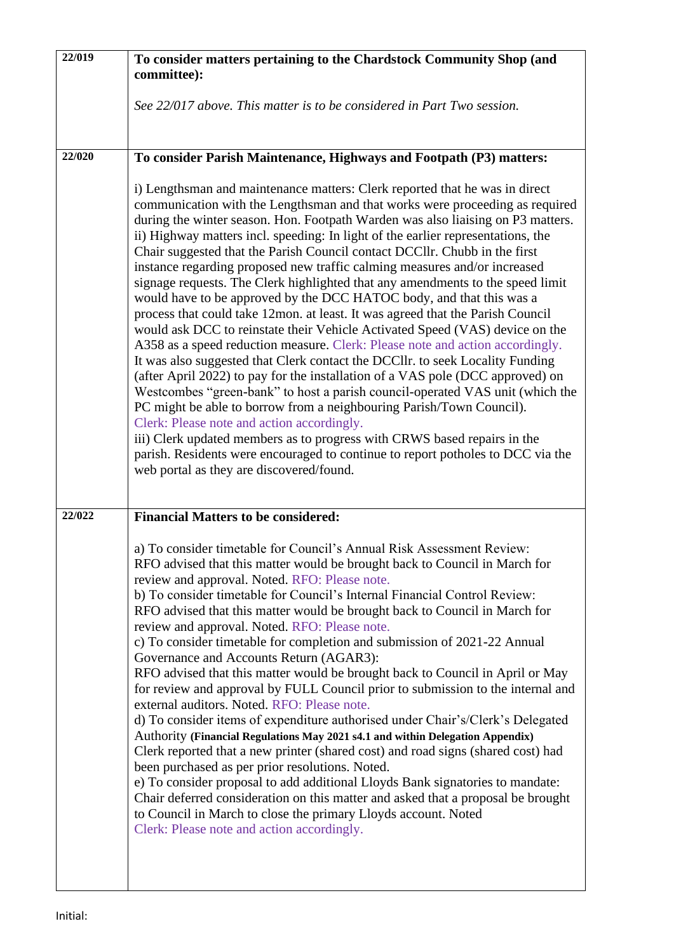| 22/019 | To consider matters pertaining to the Chardstock Community Shop (and                                                                                                                                                                                                                                                                                                                                                                                                                                                                                                                                                                                                                                                                                                                                                                                                                                                                                                                                                                                                                                                                                                                                                                                                                                                                                       |
|--------|------------------------------------------------------------------------------------------------------------------------------------------------------------------------------------------------------------------------------------------------------------------------------------------------------------------------------------------------------------------------------------------------------------------------------------------------------------------------------------------------------------------------------------------------------------------------------------------------------------------------------------------------------------------------------------------------------------------------------------------------------------------------------------------------------------------------------------------------------------------------------------------------------------------------------------------------------------------------------------------------------------------------------------------------------------------------------------------------------------------------------------------------------------------------------------------------------------------------------------------------------------------------------------------------------------------------------------------------------------|
|        | committee):                                                                                                                                                                                                                                                                                                                                                                                                                                                                                                                                                                                                                                                                                                                                                                                                                                                                                                                                                                                                                                                                                                                                                                                                                                                                                                                                                |
|        | See 22/017 above. This matter is to be considered in Part Two session.                                                                                                                                                                                                                                                                                                                                                                                                                                                                                                                                                                                                                                                                                                                                                                                                                                                                                                                                                                                                                                                                                                                                                                                                                                                                                     |
|        |                                                                                                                                                                                                                                                                                                                                                                                                                                                                                                                                                                                                                                                                                                                                                                                                                                                                                                                                                                                                                                                                                                                                                                                                                                                                                                                                                            |
| 22/020 | To consider Parish Maintenance, Highways and Footpath (P3) matters:                                                                                                                                                                                                                                                                                                                                                                                                                                                                                                                                                                                                                                                                                                                                                                                                                                                                                                                                                                                                                                                                                                                                                                                                                                                                                        |
|        | i) Lengthsman and maintenance matters: Clerk reported that he was in direct<br>communication with the Lengthsman and that works were proceeding as required<br>during the winter season. Hon. Footpath Warden was also liaising on P3 matters.<br>ii) Highway matters incl. speeding: In light of the earlier representations, the<br>Chair suggested that the Parish Council contact DCCllr. Chubb in the first<br>instance regarding proposed new traffic calming measures and/or increased<br>signage requests. The Clerk highlighted that any amendments to the speed limit<br>would have to be approved by the DCC HATOC body, and that this was a<br>process that could take 12mon. at least. It was agreed that the Parish Council<br>would ask DCC to reinstate their Vehicle Activated Speed (VAS) device on the<br>A358 as a speed reduction measure. Clerk: Please note and action accordingly.                                                                                                                                                                                                                                                                                                                                                                                                                                                 |
|        | It was also suggested that Clerk contact the DCCllr. to seek Locality Funding<br>(after April 2022) to pay for the installation of a VAS pole (DCC approved) on<br>Westcombes "green-bank" to host a parish council-operated VAS unit (which the<br>PC might be able to borrow from a neighbouring Parish/Town Council).<br>Clerk: Please note and action accordingly.<br>iii) Clerk updated members as to progress with CRWS based repairs in the<br>parish. Residents were encouraged to continue to report potholes to DCC via the<br>web portal as they are discovered/found.                                                                                                                                                                                                                                                                                                                                                                                                                                                                                                                                                                                                                                                                                                                                                                          |
| 22/022 | <b>Financial Matters to be considered:</b>                                                                                                                                                                                                                                                                                                                                                                                                                                                                                                                                                                                                                                                                                                                                                                                                                                                                                                                                                                                                                                                                                                                                                                                                                                                                                                                 |
|        | a) To consider timetable for Council's Annual Risk Assessment Review:<br>RFO advised that this matter would be brought back to Council in March for<br>review and approval. Noted. RFO: Please note.<br>b) To consider timetable for Council's Internal Financial Control Review:<br>RFO advised that this matter would be brought back to Council in March for<br>review and approval. Noted. RFO: Please note.<br>c) To consider timetable for completion and submission of 2021-22 Annual<br>Governance and Accounts Return (AGAR3):<br>RFO advised that this matter would be brought back to Council in April or May<br>for review and approval by FULL Council prior to submission to the internal and<br>external auditors. Noted. RFO: Please note.<br>d) To consider items of expenditure authorised under Chair's/Clerk's Delegated<br>Authority (Financial Regulations May 2021 s4.1 and within Delegation Appendix)<br>Clerk reported that a new printer (shared cost) and road signs (shared cost) had<br>been purchased as per prior resolutions. Noted.<br>e) To consider proposal to add additional Lloyds Bank signatories to mandate:<br>Chair deferred consideration on this matter and asked that a proposal be brought<br>to Council in March to close the primary Lloyds account. Noted<br>Clerk: Please note and action accordingly. |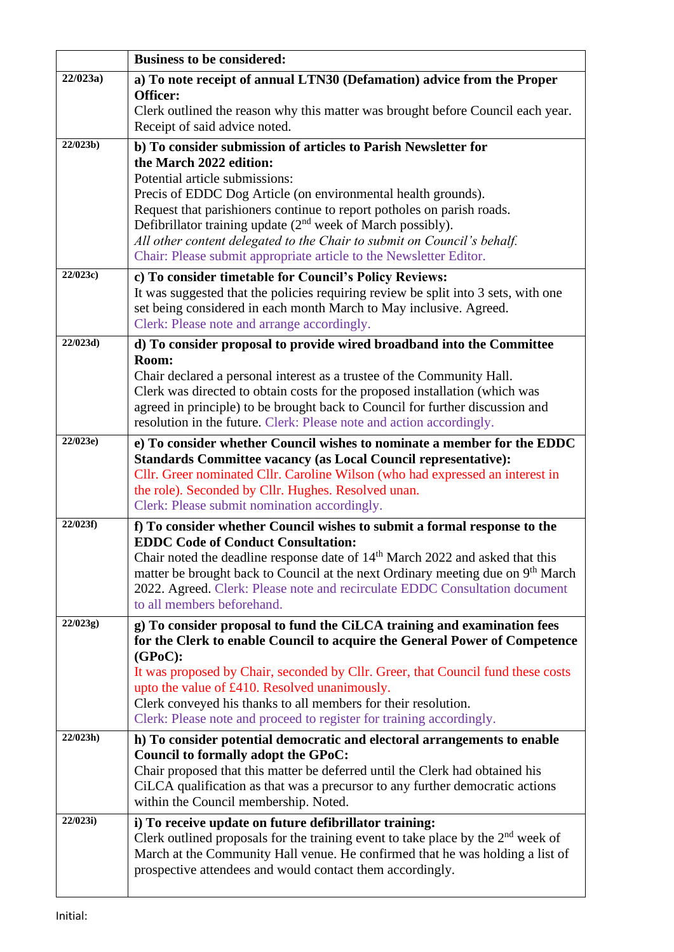|             | <b>Business to be considered:</b>                                                                                                                                                        |
|-------------|------------------------------------------------------------------------------------------------------------------------------------------------------------------------------------------|
| 22/023a     | a) To note receipt of annual LTN30 (Defamation) advice from the Proper                                                                                                                   |
|             | Officer:                                                                                                                                                                                 |
|             | Clerk outlined the reason why this matter was brought before Council each year.<br>Receipt of said advice noted.                                                                         |
| 22/023b)    | b) To consider submission of articles to Parish Newsletter for                                                                                                                           |
|             | the March 2022 edition:                                                                                                                                                                  |
|             | Potential article submissions:                                                                                                                                                           |
|             | Precis of EDDC Dog Article (on environmental health grounds).<br>Request that parishioners continue to report potholes on parish roads.                                                  |
|             | Defibrillator training update $(2nd$ week of March possibly).                                                                                                                            |
|             | All other content delegated to the Chair to submit on Council's behalf.                                                                                                                  |
|             | Chair: Please submit appropriate article to the Newsletter Editor.                                                                                                                       |
| 22/023c     | c) To consider timetable for Council's Policy Reviews:                                                                                                                                   |
|             | It was suggested that the policies requiring review be split into 3 sets, with one                                                                                                       |
|             | set being considered in each month March to May inclusive. Agreed.<br>Clerk: Please note and arrange accordingly.                                                                        |
| 22/023d     |                                                                                                                                                                                          |
|             | d) To consider proposal to provide wired broadband into the Committee<br>Room:                                                                                                           |
|             | Chair declared a personal interest as a trustee of the Community Hall.                                                                                                                   |
|             | Clerk was directed to obtain costs for the proposed installation (which was                                                                                                              |
|             | agreed in principle) to be brought back to Council for further discussion and                                                                                                            |
|             | resolution in the future. Clerk: Please note and action accordingly.                                                                                                                     |
| 22/023e)    | e) To consider whether Council wishes to nominate a member for the EDDC                                                                                                                  |
|             | <b>Standards Committee vacancy (as Local Council representative):</b><br>Cllr. Greer nominated Cllr. Caroline Wilson (who had expressed an interest in                                   |
|             | the role). Seconded by Cllr. Hughes. Resolved unan.                                                                                                                                      |
|             | Clerk: Please submit nomination accordingly.                                                                                                                                             |
| 22/023f     | f) To consider whether Council wishes to submit a formal response to the                                                                                                                 |
|             | <b>EDDC Code of Conduct Consultation:</b>                                                                                                                                                |
|             | Chair noted the deadline response date of 14 <sup>th</sup> March 2022 and asked that this<br>matter be brought back to Council at the next Ordinary meeting due on 9 <sup>th</sup> March |
|             | 2022. Agreed. Clerk: Please note and recirculate EDDC Consultation document                                                                                                              |
|             | to all members beforehand.                                                                                                                                                               |
| 22/023g)    | g) To consider proposal to fund the CiLCA training and examination fees                                                                                                                  |
|             | for the Clerk to enable Council to acquire the General Power of Competence                                                                                                               |
|             | $(GPoC)$ :                                                                                                                                                                               |
|             | It was proposed by Chair, seconded by Cllr. Greer, that Council fund these costs<br>upto the value of £410. Resolved unanimously.                                                        |
|             | Clerk conveyed his thanks to all members for their resolution.                                                                                                                           |
|             | Clerk: Please note and proceed to register for training accordingly.                                                                                                                     |
| $22/023h$ ) | h) To consider potential democratic and electoral arrangements to enable                                                                                                                 |
|             | Council to formally adopt the GPoC:                                                                                                                                                      |
|             | Chair proposed that this matter be deferred until the Clerk had obtained his                                                                                                             |
|             | CiLCA qualification as that was a precursor to any further democratic actions<br>within the Council membership. Noted.                                                                   |
| 22/023i)    | i) To receive update on future defibrillator training:                                                                                                                                   |
|             | Clerk outlined proposals for the training event to take place by the $2nd$ week of                                                                                                       |
|             | March at the Community Hall venue. He confirmed that he was holding a list of                                                                                                            |
|             | prospective attendees and would contact them accordingly.                                                                                                                                |
|             |                                                                                                                                                                                          |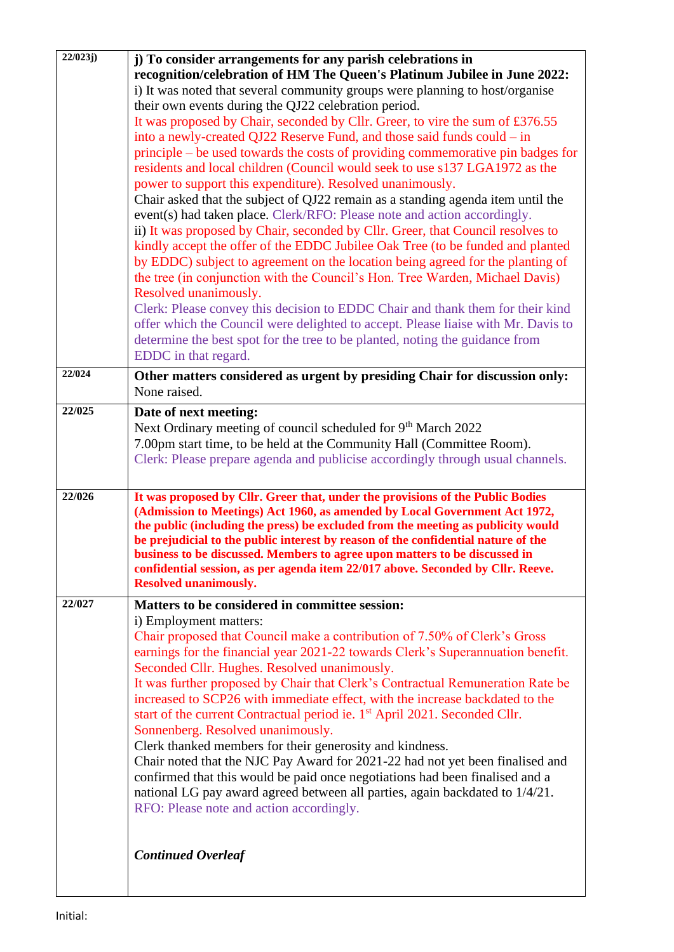|        | j) To consider arrangements for any parish celebrations in                             |
|--------|----------------------------------------------------------------------------------------|
|        | recognition/celebration of HM The Queen's Platinum Jubilee in June 2022:               |
|        | i) It was noted that several community groups were planning to host/organise           |
|        | their own events during the QJ22 celebration period.                                   |
|        | It was proposed by Chair, seconded by Cllr. Greer, to vire the sum of £376.55          |
|        | into a newly-created QJ22 Reserve Fund, and those said funds could - in                |
|        | principle – be used towards the costs of providing commemorative pin badges for        |
|        | residents and local children (Council would seek to use s137 LGA1972 as the            |
|        | power to support this expenditure). Resolved unanimously.                              |
|        | Chair asked that the subject of QJ22 remain as a standing agenda item until the        |
|        | event(s) had taken place. Clerk/RFO: Please note and action accordingly.               |
|        | ii) It was proposed by Chair, seconded by Cllr. Greer, that Council resolves to        |
|        | kindly accept the offer of the EDDC Jubilee Oak Tree (to be funded and planted         |
|        | by EDDC) subject to agreement on the location being agreed for the planting of         |
|        | the tree (in conjunction with the Council's Hon. Tree Warden, Michael Davis)           |
|        | Resolved unanimously.                                                                  |
|        | Clerk: Please convey this decision to EDDC Chair and thank them for their kind         |
|        | offer which the Council were delighted to accept. Please liaise with Mr. Davis to      |
|        | determine the best spot for the tree to be planted, noting the guidance from           |
|        | EDDC in that regard.                                                                   |
| 22/024 | Other matters considered as urgent by presiding Chair for discussion only:             |
|        | None raised.                                                                           |
| 22/025 | Date of next meeting:                                                                  |
|        | Next Ordinary meeting of council scheduled for 9 <sup>th</sup> March 2022              |
|        | 7.00pm start time, to be held at the Community Hall (Committee Room).                  |
|        | Clerk: Please prepare agenda and publicise accordingly through usual channels.         |
|        |                                                                                        |
| 22/026 | It was proposed by Cllr. Greer that, under the provisions of the Public Bodies         |
|        | (Admission to Meetings) Act 1960, as amended by Local Government Act 1972,             |
|        |                                                                                        |
|        | the public (including the press) be excluded from the meeting as publicity would       |
|        | be prejudicial to the public interest by reason of the confidential nature of the      |
|        | business to be discussed. Members to agree upon matters to be discussed in             |
|        | confidential session, as per agenda item 22/017 above. Seconded by Cllr. Reeve.        |
|        | <b>Resolved unanimously.</b>                                                           |
| 22/027 | Matters to be considered in committee session:                                         |
|        | i) Employment matters:                                                                 |
|        | Chair proposed that Council make a contribution of 7.50% of Clerk's Gross              |
|        | earnings for the financial year 2021-22 towards Clerk's Superannuation benefit.        |
|        | Seconded Cllr. Hughes. Resolved unanimously.                                           |
|        | It was further proposed by Chair that Clerk's Contractual Remuneration Rate be         |
|        | increased to SCP26 with immediate effect, with the increase backdated to the           |
|        | start of the current Contractual period ie. 1 <sup>st</sup> April 2021. Seconded Cllr. |
|        | Sonnenberg. Resolved unanimously.                                                      |
|        | Clerk thanked members for their generosity and kindness.                               |
|        | Chair noted that the NJC Pay Award for 2021-22 had not yet been finalised and          |
|        | confirmed that this would be paid once negotiations had been finalised and a           |
|        | national LG pay award agreed between all parties, again backdated to 1/4/21.           |
|        | RFO: Please note and action accordingly.                                               |
|        |                                                                                        |
|        |                                                                                        |
|        | <b>Continued Overleaf</b>                                                              |
|        |                                                                                        |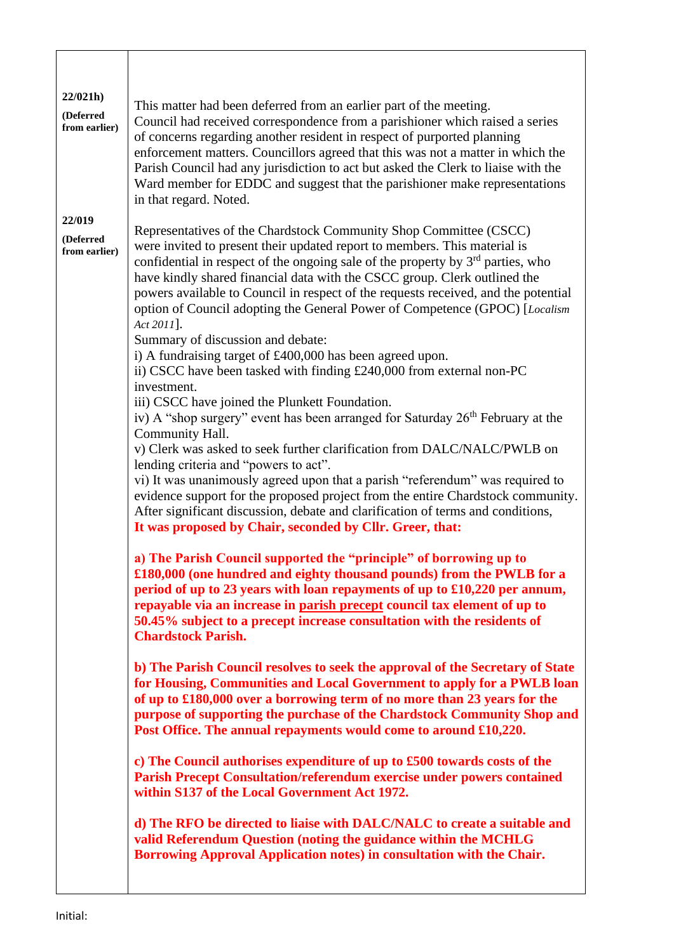| 22/021h<br>(Deferred<br>from earlier) | This matter had been deferred from an earlier part of the meeting.<br>Council had received correspondence from a parishioner which raised a series<br>of concerns regarding another resident in respect of purported planning<br>enforcement matters. Councillors agreed that this was not a matter in which the<br>Parish Council had any jurisdiction to act but asked the Clerk to liaise with the<br>Ward member for EDDC and suggest that the parishioner make representations<br>in that regard. Noted.                                                                                                                                                                                                                                                                                                                                                                                                                                                                                                                                                                                                                                                                                                                                                                                                    |
|---------------------------------------|------------------------------------------------------------------------------------------------------------------------------------------------------------------------------------------------------------------------------------------------------------------------------------------------------------------------------------------------------------------------------------------------------------------------------------------------------------------------------------------------------------------------------------------------------------------------------------------------------------------------------------------------------------------------------------------------------------------------------------------------------------------------------------------------------------------------------------------------------------------------------------------------------------------------------------------------------------------------------------------------------------------------------------------------------------------------------------------------------------------------------------------------------------------------------------------------------------------------------------------------------------------------------------------------------------------|
| 22/019<br>(Deferred<br>from earlier)  | Representatives of the Chardstock Community Shop Committee (CSCC)<br>were invited to present their updated report to members. This material is<br>confidential in respect of the ongoing sale of the property by 3 <sup>rd</sup> parties, who<br>have kindly shared financial data with the CSCC group. Clerk outlined the<br>powers available to Council in respect of the requests received, and the potential<br>option of Council adopting the General Power of Competence (GPOC) [Localism<br>Act 2011].<br>Summary of discussion and debate:<br>i) A fundraising target of £400,000 has been agreed upon.<br>ii) CSCC have been tasked with finding £240,000 from external non-PC<br>investment.<br>iii) CSCC have joined the Plunkett Foundation.<br>iv) A "shop surgery" event has been arranged for Saturday 26 <sup>th</sup> February at the<br>Community Hall.<br>v) Clerk was asked to seek further clarification from DALC/NALC/PWLB on<br>lending criteria and "powers to act".<br>vi) It was unanimously agreed upon that a parish "referendum" was required to<br>evidence support for the proposed project from the entire Chardstock community.<br>After significant discussion, debate and clarification of terms and conditions,<br>It was proposed by Chair, seconded by Cllr. Greer, that: |
|                                       | a) The Parish Council supported the "principle" of borrowing up to<br>£180,000 (one hundred and eighty thousand pounds) from the PWLB for a<br>period of up to 23 years with loan repayments of up to £10,220 per annum,<br>repayable via an increase in parish precept council tax element of up to<br>50.45% subject to a precept increase consultation with the residents of<br><b>Chardstock Parish.</b>                                                                                                                                                                                                                                                                                                                                                                                                                                                                                                                                                                                                                                                                                                                                                                                                                                                                                                     |
|                                       | b) The Parish Council resolves to seek the approval of the Secretary of State<br>for Housing, Communities and Local Government to apply for a PWLB loan<br>of up to £180,000 over a borrowing term of no more than 23 years for the<br>purpose of supporting the purchase of the Chardstock Community Shop and<br>Post Office. The annual repayments would come to around £10,220.                                                                                                                                                                                                                                                                                                                                                                                                                                                                                                                                                                                                                                                                                                                                                                                                                                                                                                                               |
|                                       | c) The Council authorises expenditure of up to £500 towards costs of the<br><b>Parish Precept Consultation/referendum exercise under powers contained</b><br>within S137 of the Local Government Act 1972.                                                                                                                                                                                                                                                                                                                                                                                                                                                                                                                                                                                                                                                                                                                                                                                                                                                                                                                                                                                                                                                                                                       |
|                                       | d) The RFO be directed to liaise with DALC/NALC to create a suitable and<br>valid Referendum Question (noting the guidance within the MCHLG<br>Borrowing Approval Application notes) in consultation with the Chair.                                                                                                                                                                                                                                                                                                                                                                                                                                                                                                                                                                                                                                                                                                                                                                                                                                                                                                                                                                                                                                                                                             |

 $\overline{\phantom{a}}$